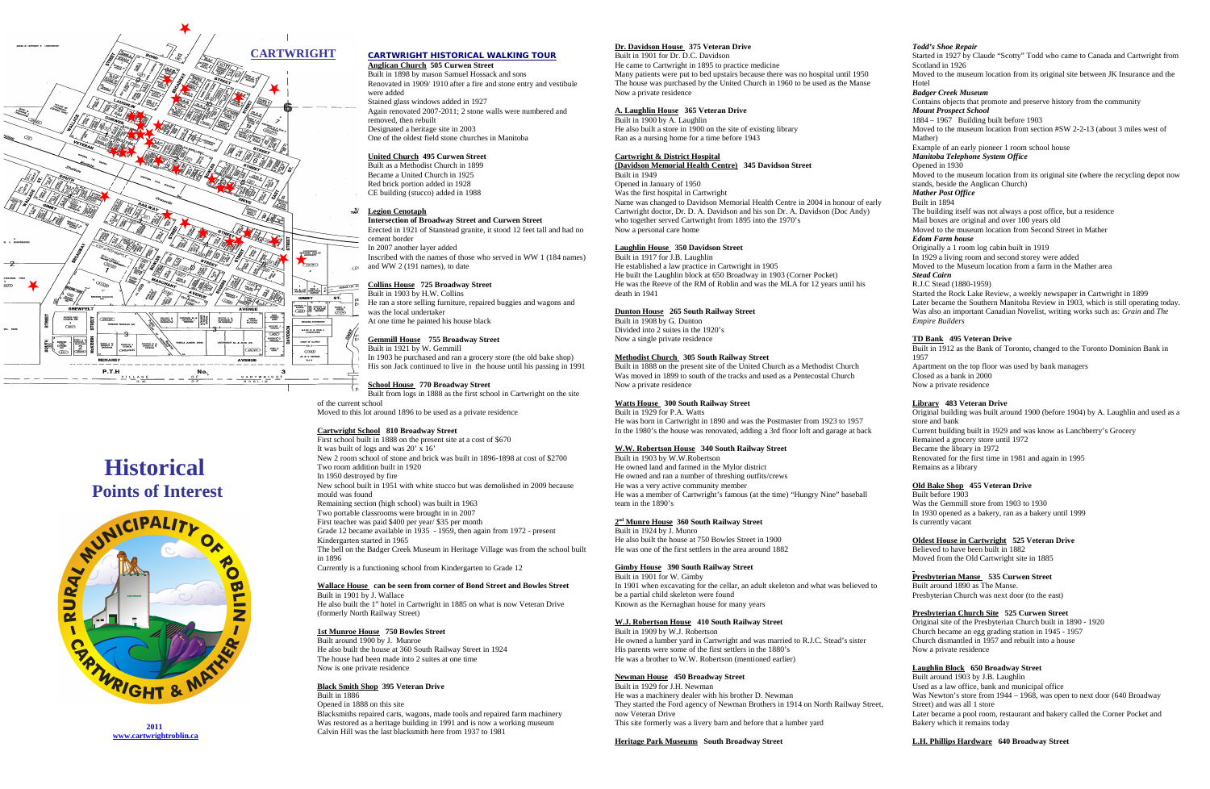



**2011 [www.cartwrightroblin.ca](http://www.cartwrightroblin.ca/)**

## **CARTWRIGHT HISTORICAL WALKING TOUR**

#### **Anglican Church 505 Curwen Street**

Built in 1898 by mason Samuel Hossack and sons Renovated in 1909/ 1910 after a fire and stone entry and vestibule were added Stained glass windows added in 1927 Again renovated 2007-2011; 2 stone walls were numbered and removed, then rebuilt Designated a heritage site in 2003 One of the oldest field stone churches in Manitoba

Inscribed with the names of those who served in WW 1 (184 names)  $\sim$  and WW 2 (191 names), to date

#### **United Church 495 Curwen Street**

Built as a Methodist Church in 1899 Became a United Church in 1925 Red brick portion added in 1928 CE building (stucco) added in 1988

#### **<u>Region Cenotaph</u>**

In 1903 he purchased and ran a grocery store (the old bake shop) His son Jack continued to live in the house until his passing in 1991

#### **Intersection of Broadway Street and Curwen Street**

Erected in 1921 of Stanstead granite, it stood 12 feet tall and had no cement border In 2007 another layer added

#### **Collins House 725 Broadway Street**

Built in 1903 by H.W. Collins

He ran a store selling furniture, repaired buggies and wagons and was the local undertaker

At one time he painted his house black

### **Gemmill House 755 Broadway Street**

Built in 1921 by W. Gemmill

He also built the 1<sup>st</sup> hotel in Cartwright in 1885 on what is now Veteran Drive (formerly North Railway Street)

# **School House 770 Broadway Street**

Built from logs in 1888 as the first school in Cartwright on the site of the current school Moved to this lot around 1896 to be used as a private residence

#### **Cartwright School 810 Broadway Street**

First school built in 1888 on the present site at a cost of \$670 It was built of logs and was 20' x 16' New 2 room school of stone and brick was built in 1896-1898 at cost of \$2700 Two room addition built in 1920 In 1950 destroyed by fire New school built in 1951 with white stucco but was demolished in 2009 because mould was found Remaining section (high school) was built in 1963 Two portable classrooms were brought in in 2007 First teacher was paid \$400 per year/ \$35 per month Grade 12 became available in 1935 - 1959, then again from 1972 - present Kindergarten started in 1965 The bell on the Badger Creek Museum in Heritage Village was from the school built in 1896 Currently is a functioning school from Kindergarten to Grade 12 **Wallace House can be seen from corner of Bond Street and Bowles Street** Built in 1901 by J. Wallace

Built in 1917 for LB. Laughlin He established a law practice in Cartwright in 1905 He built the Laughlin block at 650 Broadway in 1903 (Corner Pocket) He was the Reeve of the RM of Roblin and was the MLA for 12 years until his death in 1941

 $\overline{B_{\text{null}}}$  in 1888 on the present site of the United Church as a Methodist Church Was moved in 1899 to south of the tracks and used as a Pentecostal Church Now a private residence

# **1st Munroe House 750 Bowles Street**

Built around 1900 by J. Munroe He also built the house at 360 South Railway Street in 1924 The house had been made into 2 suites at one time Now is one private residence

### **Black Smith Shop 395 Veteran Drive**

Built in 1886 Opened in 1888 on this site Blacksmiths repaired carts, wagons, made tools and repaired farm machinery Was restored as a heritage building in 1991 and is now a working museum Calvin Hill was the last blacksmith here from 1937 to 1981

## **Dr. Davidson House 375 Veteran Drive**

Started in 1927 by Claude "Scotty" Todd who came to Canada and Cartwright from Scotland in 1926

Built in 1901 for Dr. D.C. Davidson He came to Cartwright in 1895 to practice medicine Many patients were put to bed upstairs because there was no hospital until 1950 The house was purchased by the United Church in 1960 to be used as the Manse Now a private residence

### **A. Laughlin House 365 Veteran Drive**

Built in 1900 by A. Laughlin He also built a store in 1900 on the site of existing library Ran as a nursing home for a time before 1943

#### **Cartwright & District Hospital**

**(Davidson Memorial Health Centre) 345 Davidson Street** Built in 1949 Opened in January of 1950 Was the first hospital in Cartwright Name was changed to Davidson Memorial Health Centre in 2004 in honour of early Cartwright doctor, Dr. D. A. Davidson and his son Dr. A. Davidson (Doc Andy) who together served Cartwright from 1895 into the 1970's Now a personal care home

> Started the Rock Lake Review, a weekly newspaper in Cartwright in 1899 Later became the Southern Manitoba Review in 1903, which is still operating today. Was also an important Canadian Novelist, writing works such as: *Grain* and *The Empire Builders*

## **Laughlin House 350 Davidson Street**

Built before 1903 Was the Gemmill store from 1903 to 1930 In 1930 opened as a bakery, ran as a bakery until 1999 Is currently vacant

### **Dunton House 265 South Railway Street**

Built in 1908 by G. Dunton Divided into 2 suites in the 1920's Now a single private residence

### **Methodist Church 305 South Railway Street**

## **Watts House 300 South Railway Street**

Built in 1929 for P.A. Watts He was born in Cartwright in 1890 and was the Postmaster from 1923 to 1957 In the 1980's the house was renovated, adding a 3rd floor loft and garage at back

#### **W.W. Robertson House 340 South Railway Street**

Built in 1903 by W.W.Robertson He owned land and farmed in the Mylor district He owned and ran a number of threshing outfits/crews He was a very active community member He was a member of Cartwright's famous (at the time) "Hungry Nine" baseball team in the 1890's

#### **2 nd Munro House 360 South Railway Street**

Built in 1924 by J. Munro He also built the house at 750 Bowles Street in 1900 He was one of the first settlers in the area around 1882

#### **Gimby House 390 South Railway Street**

Built in 1901 for W. Gimby In 1901 when excavating for the cellar, an adult skeleton and what was believed to be a partial child skeleton were found Known as the Kernaghan house for many years

## **W.J. Robertson House 410 South Railway Street**

Built in 1909 by W.J. Robertson He owned a lumber yard in Cartwright and was married to R.J.C. Stead's sister His parents were some of the first settlers in the 1880's He was a brother to W.W. Robertson (mentioned earlier)

### **Newman House 450 Broadway Street**

Built in 1929 for J.H. Newman He was a machinery dealer with his brother D. Newman They started the Ford agency of Newman Brothers in 1914 on North Railway Street, now Veteran Drive This site formerly was a livery barn and before that a lumber yard

#### **Heritage Park Museums South Broadway Street**

### *Todd's Shoe Repair*

Moved to the museum location from its original site between JK Insurance and the Hotel

### *Badger Creek Museum*

Contains objects that promote and preserve history from the community *Mount Prospect School*

1884 – 1967 Building built before 1903

Moved to the museum location from section #SW 2-2-13 (about 3 miles west of Mather)

Example of an early pioneer 1 room school house

*Manitoba Telephone System Office*

## Opened in 1930

Moved to the museum location from its original site (where the recycling depot now stands, beside the Anglican Church)

#### *Mather Post Office* Built in 1894

The building itself was not always a post office, but a residence Mail boxes are original and over 100 years old

Moved to the museum location from Second Street in Mather

### *Edom Farm house*

Originally a 1 room log cabin built in 1919

In 1929 a living room and second storey were added

Moved to the Museum location from a farm in the Mather area

# *Stead Cairn*

R.J.C Stead (1880-1959)

### **TD Bank 495 Veteran Drive**

Built in 1912 as the Bank of Toronto, changed to the Toronto Dominion Bank in 1957 Apartment on the top floor was used by bank managers Closed as a bank in 2000 Now a private residence

## **Library 483 Veteran Drive**

Original building was built around 1900 (before 1904) by A. Laughlin and used as a store and bank Current building built in 1929 and was know as Lanchberry's Grocery Remained a grocery store until 1972 Became the library in 1972 Renovated for the first time in 1981 and again in 1995 Remains as a library

### **Old Bake Shop 455 Veteran Drive**

### **Oldest House in Cartwright 525 Veteran Drive**

Believed to have been built in 1882 Moved from the Old Cartwright site in 1885

### **Presbyterian Manse 535 Curwen Street**

Built around 1890 as The Manse. Presbyterian Church was next door (to the east)

### **Presbyterian Church Site 525 Curwen Street**

Original site of the Presbyterian Church built in 1890 - 1920 Church became an egg grading station in 1945 - 1957 Church dismantled in 1957 and rebuilt into a house Now a private residence

### **Laughlin Block 650 Broadway Street**

Built around 1903 by J.B. Laughlin Used as a law office, bank and municipal office Was Newton's store from 1944 – 1968, was open to next door (640 Broadway Street) and was all 1 store Later became a pool room, restaurant and bakery called the Corner Pocket and Bakery which it remains today

### **L.H. Phillips Hardware 640 Broadway Street**

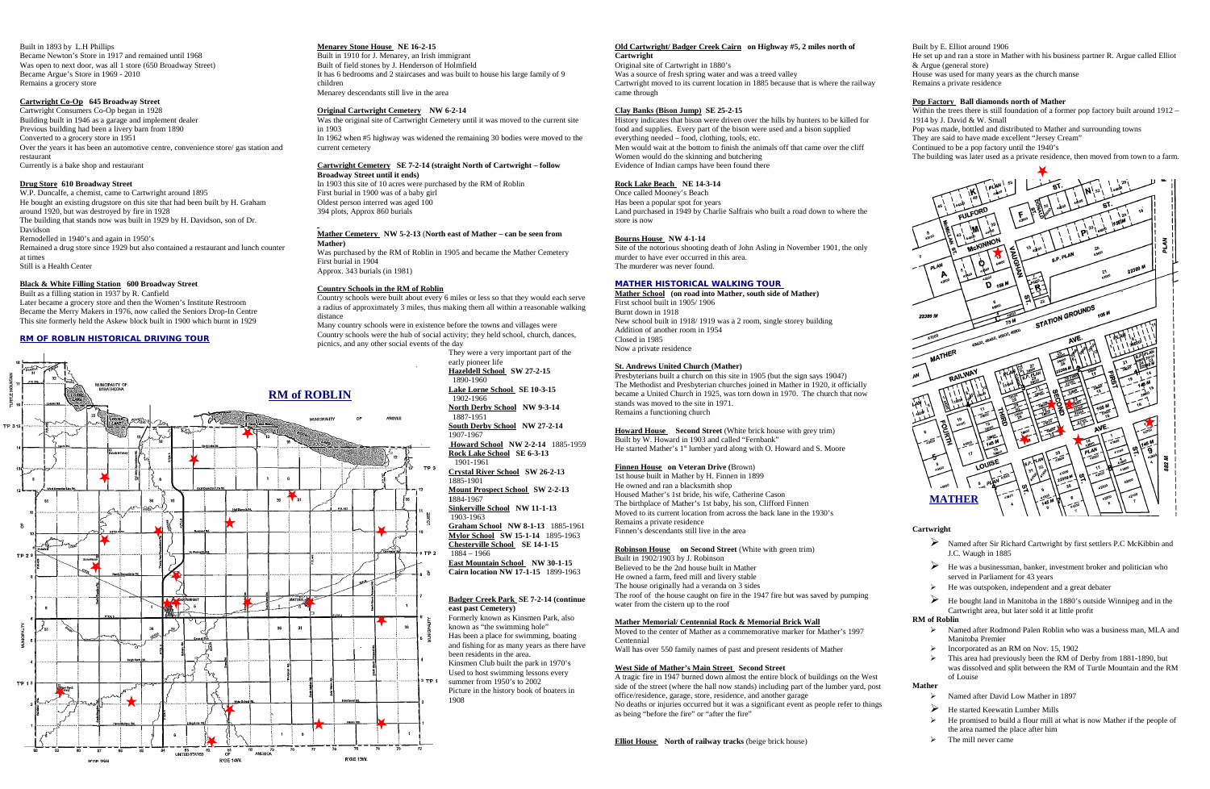Built in 1893 by L.H Phillips Became Newton's Store in 1917 and remained until 1968 Was open to next door, was all 1 store (650 Broadway Street) Became Argue's Store in 1969 - 2010 Remains a grocery store

### **Cartwright Co-Op 645 Broadway Street**

Cartwright Consumers Co-Op began in 1928 Building built in 1946 as a garage and implement dealer Previous building had been a livery barn from 1890 Converted to a grocery store in 1951 Over the years it has been an automotive centre, convenience store/ gas station and restaurant Currently is a bake shop and restaurant

#### **Drug Store 610 Broadway Street**

W.P. Duncalfe, a chemist, came to Cartwright around 1895 He bought an existing drugstore on this site that had been built by H. Graham around 1920, but was destroyed by fire in 1928 The building that stands now was built in 1929 by H. Davidson, son of Dr. Davidson Remodelled in 1940's and again in 1950's Remained a drug store since 1929 but also contained a restaurant and lunch counter at times Still is a Health Center

### **Black & White Filling Station 600 Broadway Street**

Built as a filling station in 1937 by R. Canfield Later became a grocery store and then the Women's Institute Restroom

Became the Merry Makers in 1976, now called the Seniors Drop-In Centre This site formerly held the Askew block built in 1900 which burnt in 1929

### **RM OF ROBLIN HISTORICAL DRIVING TOUR**

**Menarey Stone House NE 16-2-15**

Built in 1910 for J. Menarey, an Irish immigrant Built of field stones by J. Henderson of Holmfield It has 6 bedrooms and 2 staircases and was built to house his large family of 9 children Menarey descendants still live in the area

### **Original Cartwright Cemetery NW 6-2-14**

Was the original site of Cartwright Cemetery until it was moved to the current site in 1903 In 1962 when #5 highway was widened the remaining 30 bodies were moved to the current cemetery

### **Cartwright Cemetery SE 7-2-14 (straight North of Cartwright – follow Broadway Street until it ends)**

In 1903 this site of 10 acres were purchased by the RM of Roblin First burial in 1900 was of a baby girl Oldest person interred was aged 100 394 plots, Approx 860 burials

#### **Mather Cemetery NW 5-2-13** (**North east of Mather – can be seen from Mather)**

Was purchased by the RM of Roblin in 1905 and became the Mather Cemetery First burial in 1904 Approx. 343 burials (in 1981)

#### **Country Schools in the RM of Roblin**

Country schools were built about every 6 miles or less so that they would each serve a radius of approximately 3 miles, thus making them all within a reasonable walking distance

Many country schools were in existence before the towns and villages were Country schools were the hub of social activity; they held school, church, dances, picnics, and any other social events of the day

> Presbyterians built a church on this site in 1905 (but the sign says 1904?) The Methodist and Presbyterian churches joined in Mather in 1920, it officially became a United Church in 1925, was torn down in 1970. The church that now stands was moved to the site in 1971. Remains a functioning church

**Howard House** Second Street (White brick house with grey trim) Built by W. Howard in 1903 and called "Fernbank" He started Mather's 1<sup>st</sup> lumber yard along with O. Howard and S. Moore

They were a very important part of the early pioneer life **Hazeldell School SW 27-2-15** 1890-1960

**Lake Lorne School SE 10-3-15** 1902-1966

**North Derby School NW 9-3-14** 1887-1951 **South Derby School NW 27-2-14**

> **Robinson House on Second Street** (White with green trim) Built in 1902/1903 by J. Robinson Believed to be the 2nd house built in Mather He owned a farm, feed mill and livery stable The house originally had a veranda on 3 sides The roof of the house caught on fire in the 1947 fire but was saved by pumping water from the cistern up to the roof

1907-1967  **Howard School NW 2-2-14** 1885-1959 **Rock Lake School SE 6-3-13** 1901-1961

**Crystal River School SW 26-2-13** 1885-1901

 **Mount Prospect School SW 2-2-13 1**884-1967 **Sinkerville School NW 11-1-13**  1903-1963 **Graham School NW 8-1-13** 1885-1961 **Mylor School SW 15-1-14** 1895-1963

**Chesterville School SE 14-1-15**  1884 – 1966  **East Mountain School NW 30-1-15 Cairn location NW 17-1-15** 1899-1963

#### **Badger Creek Park SE 7-2-14 (continue east past Cemetery)**

Formerly known as Kinsmen Park, also known as "the swimming hole" Has been a place for swimming, boating and fishing for as many years as there have been residents in the area. Kinsmen Club built the park in 1970's Used to host swimming lessons every summer from 1950's to 2002 Picture in the history book of boaters in 1908

Within the trees there is still foundation of a former pop factory built around 1912 – 1914 by J. David & W. Small

#### **Old Cartwright/ Badger Creek Cairn on Highway #5, 2 miles north of Cartwright**

Original site of Cartwright in 1880's Was a source of fresh spring water and was a treed valley Cartwright moved to its current location in 1885 because that is where the railway came through

### **Clay Banks (Bison Jump) SE 25-2-15**

- Named after David Low Mather in 1897
- He started Keewatin Lumber Mills
- He promised to build a flour mill at what is now Mather if the people of the area named the place after him
- $\triangleright$  The mill never came

History indicates that bison were driven over the hills by hunters to be killed for food and supplies. Every part of the bison were used and a bison supplied everything needed – food, clothing, tools, etc. Men would wait at the bottom to finish the animals off that came over the cliff Women would do the skinning and butchering Evidence of Indian camps have been found there

## **Rock Lake Beach NE 14-3-14**

Once called Mooney's Beach Has been a popular spot for years Land purchased in 1949 by Charlie Salfrais who built a road down to where the store is now

### **Bourns House NW 4-1-14**

Site of the notorious shooting death of John Asling in November 1901, the only murder to have ever occurred in this area. The murderer was never found.

## **MATHER HISTORICAL WALKING TOUR**

**Mather School (on road into Mather, south side of Mather)** First school built in 1905/ 1906 Burnt down in 1918 New school built in 1918/ 1919 was a 2 room, single storey building Addition of another room in 1954 Closed in 1985 Now a private residence

## **St. Andrews United Church (Mather)**

### **Finnen House on Veteran Drive (**Brown)

1st house built in Mather by H. Finnen in 1899 He owned and ran a blacksmith shop Housed Mather's 1st bride, his wife, Catherine Cason The birthplace of Mather's 1st baby, his son, Clifford Finnen Moved to its current location from across the back lane in the 1930's Remains a private residence Finnen's descendants still live in the area

#### **Mather Memorial/ Centennial Rock & Memorial Brick Wall**

Moved to the center of Mather as a commemorative marker for Mather's 1997 Centennial

Wall has over 550 family names of past and present residents of Mather

### **West Side of Mather's Main Street Second Street**

A tragic fire in 1947 burned down almost the entire block of buildings on the West side of the street (where the hall now stands) including part of the lumber yard, post office/residence, garage, store, residence, and another garage No deaths or injuries occurred but it was a significant event as people refer to things as being "before the fire" or "after the fire"

**Elliot House** North of railway tracks (beige brick house)

Built by E. Elliot around 1906

He set up and ran a store in Mather with his business partner R. Argue called Elliot & Argue (general store)

House was used for many years as the church manse Remains a private residence

### **Pop Factory Ball diamonds north of Mather**

Pop was made, bottled and distributed to Mather and surrounding towns

They are said to have made excellent "Jersey Cream"

Continued to be a pop factory until the 1940's

The building was later used as a private residence, then moved from town to a farm.

### **Cartwright**

- Named after Sir Richard Cartwright by first settlers P.C McKibbin and J.C. Waugh in 1885
- $\triangleright$  He was a businessman, banker, investment broker and politician who served in Parliament for 43 years
- He was outspoken, independent and a great debater
- He bought land in Manitoba in the 1880's outside Winnipeg and in the Cartwright area, but later sold it at little profit

## **RM of Roblin**

- Named after Rodmond Palen Roblin who was a business man, MLA and Manitoba Premier
- Incorporated as an RM on Nov. 15, 1902
- This area had previously been the RM of Derby from 1881-1890, but was dissolved and split between the RM of Turtle Mountain and the RM of Louise

### **Mather**